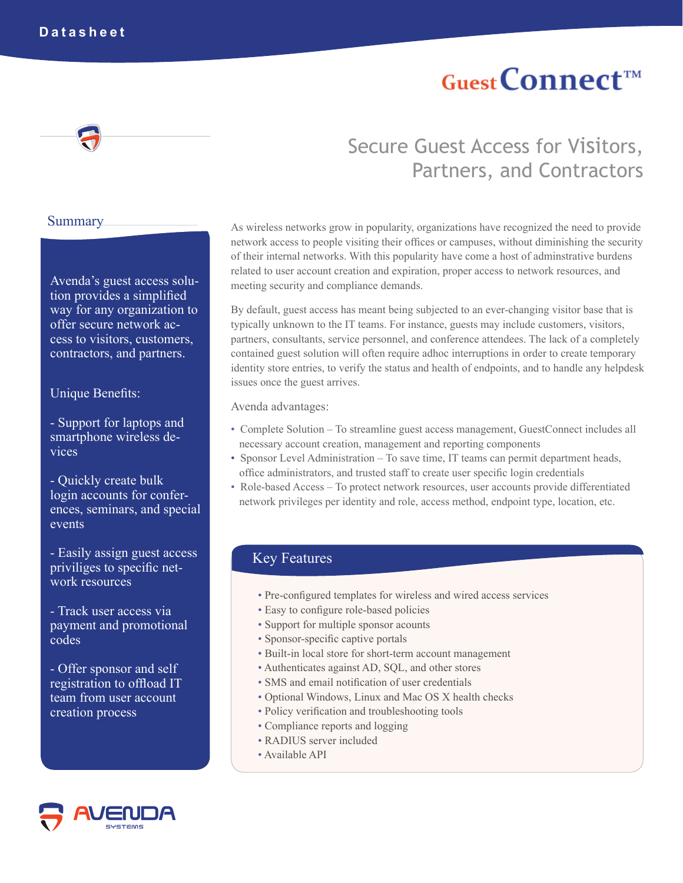# **Guest Connect<sup>TM</sup>**

#### **Summary**

Avenda's guest access solution provides a simplified way for any organization to offer secure network access to visitors, customers, contractors, and partners.

#### Unique Benefits:

- Support for laptops and smartphone wireless devices

- Quickly create bulk login accounts for conferences, seminars, and special events

- Easily assign guest access priviliges to specific network resources

- Track user access via payment and promotional codes

- Offer sponsor and self registration to offload IT team from user account creation process



## Secure Guest Access for Visitors, Partners, and Contractors

As wireless networks grow in popularity, organizations have recognized the need to provide network access to people visiting their offices or campuses, without diminishing the security of their internal networks. With this popularity have come a host of adminstrative burdens related to user account creation and expiration, proper access to network resources, and meeting security and compliance demands.

By default, guest access has meant being subjected to an ever-changing visitor base that is typically unknown to the IT teams. For instance, guests may include customers, visitors, partners, consultants, service personnel, and conference attendees. The lack of a completely contained guest solution will often require adhoc interruptions in order to create temporary identity store entries, to verify the status and health of endpoints, and to handle any helpdesk issues once the guest arrives.

Avenda advantages:

- Complete Solution To streamline guest access management, GuestConnect includes all necessary account creation, management and reporting components
- Sponsor Level Administration To save time, IT teams can permit department heads, office administrators, and trusted staff to create user specific login credentials
- Role-based Access To protect network resources, user accounts provide differentiated network privileges per identity and role, access method, endpoint type, location, etc.

### Key Features

- Pre-configured templates for wireless and wired access services
- Easy to configure role-based policies
- Support for multiple sponsor acounts
- Sponsor-specific captive portals
- Built-in local store for short-term account management
- Authenticates against AD, SQL, and other stores
- SMS and email notification of user credentials
- Optional Windows, Linux and Mac OS X health checks
- Policy verification and troubleshooting tools
- Compliance reports and logging
- RADIUS server included
- Available API